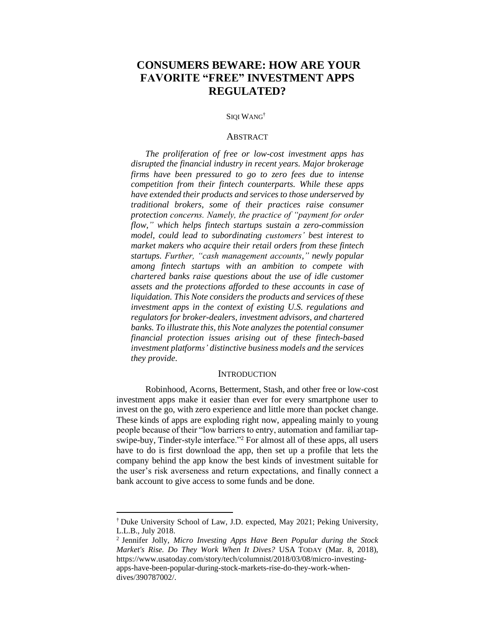# **CONSUMERS BEWARE: HOW ARE YOUR FAVORITE "FREE" INVESTMENT APPS REGULATED?**

#### SIQI WANG<sup>†</sup>

### **ABSTRACT**

*The proliferation of free or low-cost investment apps has disrupted the financial industry in recent years. Major brokerage firms have been pressured to go to zero fees due to intense competition from their fintech counterparts. While these apps have extended their products and services to those underserved by traditional brokers, some of their practices raise consumer protection concerns. Namely, the practice of "payment for order flow," which helps fintech startups sustain a zero-commission model, could lead to subordinating customers' best interest to market makers who acquire their retail orders from these fintech startups. Further, "cash management accounts," newly popular among fintech startups with an ambition to compete with chartered banks raise questions about the use of idle customer assets and the protections afforded to these accounts in case of liquidation. This Note considers the products and services of these investment apps in the context of existing U.S. regulations and regulators for broker-dealers, investment advisors, and chartered banks. To illustrate this, this Note analyzes the potential consumer financial protection issues arising out of these fintech-based investment platforms' distinctive business models and the services they provide.*

#### **INTRODUCTION**

Robinhood, Acorns, Betterment, Stash, and other free or low-cost investment apps make it easier than ever for every smartphone user to invest on the go, with zero experience and little more than pocket change. These kinds of apps are exploding right now, appealing mainly to young people because of their "low barriers to entry, automation and familiar tapswipe-buy, Tinder-style interface."<sup>2</sup> For almost all of these apps, all users have to do is first download the app, then set up a profile that lets the company behind the app know the best kinds of investment suitable for the user's risk averseness and return expectations, and finally connect a bank account to give access to some funds and be done.

<sup>†</sup> Duke University School of Law, J.D. expected, May 2021; Peking University, L.L.B., July 2018.

<sup>2</sup> Jennifer Jolly, *Micro Investing Apps Have Been Popular during the Stock Market's Rise. Do They Work When It Dives?* USA TODAY (Mar. 8, 2018), [https://www.usatoday.com/story/tech/columnist/2018/03/08/micro-investing](https://www.usatoday.com/story/tech/columnist/2018/03/08/micro-investing-apps-have-been-popular-during-stock-markets-rise-do-they-work-when-dives/390787002/)[apps-have-been-popular-during-stock-markets-rise-do-they-work-when](https://www.usatoday.com/story/tech/columnist/2018/03/08/micro-investing-apps-have-been-popular-during-stock-markets-rise-do-they-work-when-dives/390787002/)[dives/390787002/.](https://www.usatoday.com/story/tech/columnist/2018/03/08/micro-investing-apps-have-been-popular-during-stock-markets-rise-do-they-work-when-dives/390787002/)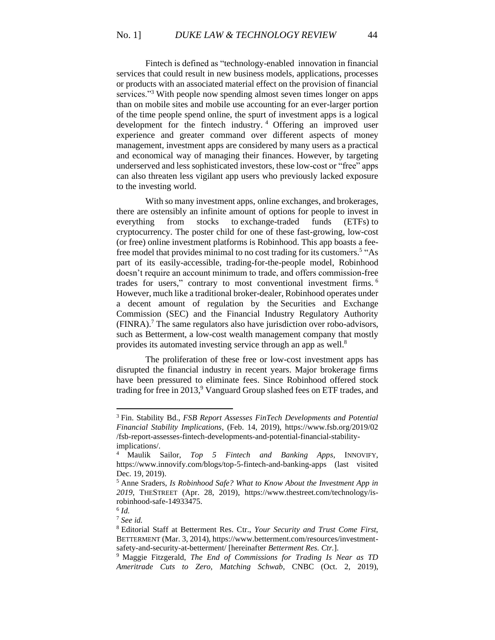Fintech is defined as "technology-enabled innovation in financial services that could result in new business models, applications, processes or products with an associated material effect on the provision of financial services."<sup>3</sup> With people now spending almost seven times longer on apps than on mobile sites and mobile use accounting for an ever-larger portion of the time people spend online, the spurt of investment apps is a logical development for the fintech industry. <sup>4</sup> Offering an improved user experience and greater command over different aspects of money management, investment apps are considered by many users as a practical and economical way of managing their finances. However, by targeting underserved and less sophisticated investors, these low-cost or "free" apps can also threaten less vigilant app users who previously lacked exposure to the investing world.

With so many investment apps, online exchanges, and brokerages, there are ostensibly an infinite amount of options for people to invest in everything from stocks to exchange-traded funds (ETFs) to cryptocurrency. The poster child for one of these fast-growing, low-cost (or free) online investment platforms is Robinhood. This app boasts a feefree model that provides minimal to no cost trading for its customers.<sup>5</sup> "As part of its easily-accessible, trading-for-the-people model, Robinhood doesn't require an account minimum to trade, and offers commission-free trades for users," contrary to most conventional investment firms. <sup>6</sup> However, much like a traditional broker-dealer, Robinhood operates under a decent amount of regulation by the Securities and Exchange Commission (SEC) and the Financial Industry Regulatory Authority (FINRA).<sup>7</sup> The same regulators also have jurisdiction over robo-advisors, such as Betterment, a low-cost wealth management company that mostly provides its automated investing service through an app as well.<sup>8</sup>

The proliferation of these free or low-cost investment apps has disrupted the financial industry in recent years. Major brokerage firms have been pressured to eliminate fees. Since Robinhood offered stock trading for free in 2013,<sup>9</sup> Vanguard Group slashed fees on ETF trades, and

<sup>3</sup> Fin. Stability Bd., *FSB Report Assesses FinTech Developments and Potential Financial Stability Implications*, (Feb. 14, 2019), [https://www.fsb.org/2019/02](https://www.fsb.org/2019/02%20/fsb-report-assesses-fintech-developments-and-potential-financial-stability-implications/)  [/fsb-report-assesses-fintech-developments-and-potential-financial-stability](https://www.fsb.org/2019/02%20/fsb-report-assesses-fintech-developments-and-potential-financial-stability-implications/)[implications/.](https://www.fsb.org/2019/02%20/fsb-report-assesses-fintech-developments-and-potential-financial-stability-implications/)

<sup>4</sup> Maulik Sailor, *Top 5 Fintech and Banking Apps*, INNOVIFY, https://www.innovify.com/blogs/top-5-fintech-and-banking-apps (last visited Dec. 19, 2019).

<sup>5</sup> Anne Sraders, *Is Robinhood Safe? What to Know About the Investment App in 2019*, THESTREET (Apr. 28, 2019), https://www.thestreet.com/technology/isrobinhood-safe-14933475.

<sup>6</sup> *Id.*

<sup>7</sup> *See id.*

<sup>8</sup> Editorial Staff at Betterment Res. Ctr., *Your Security and Trust Come First*, BETTERMENT (Mar. 3, 2014), https://www.betterment.com/resources/investmentsafety-and-security-at-betterment/ [hereinafter *Betterment Res. Ctr.*].

<sup>9</sup> Maggie Fitzgerald, *The End of Commissions for Trading Is Near as TD Ameritrade Cuts to Zero, Matching Schwab*, CNBC (Oct. 2, 2019),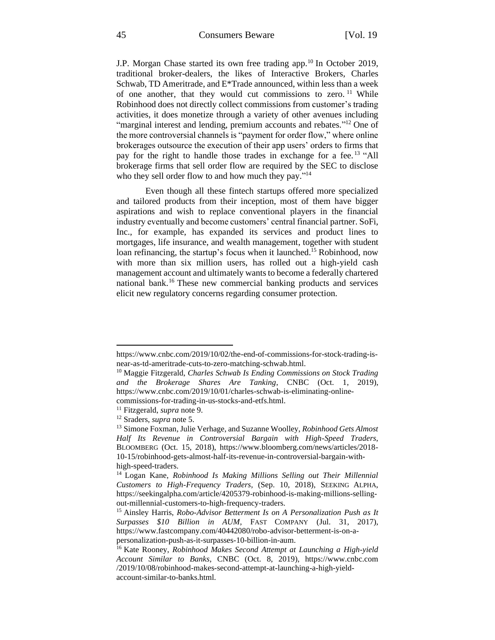#### 45 Consumers Beware [Vol. 19

J.P. Morgan Chase started its own free trading app.<sup>10</sup> In October 2019, traditional broker-dealers, the likes of Interactive Brokers, Charles Schwab, TD Ameritrade, and E\*Trade announced, within less than a week of one another, that they would cut commissions to zero.<sup>11</sup> While Robinhood does not directly collect commissions from customer's trading activities, it does monetize through a variety of other avenues including "marginal interest and lending, premium accounts and rebates."<sup>12</sup> One of the more controversial channels is "payment for order flow," where online brokerages outsource the execution of their app users' orders to firms that pay for the right to handle those trades in exchange for a fee.<sup>13</sup> "All brokerage firms that sell order flow are required by the SEC to disclose who they sell order flow to and how much they pay."<sup>14</sup>

Even though all these fintech startups offered more specialized and tailored products from their inception, most of them have bigger aspirations and wish to replace conventional players in the financial industry eventually and become customers' central financial partner. SoFi, Inc., for example, has expanded its services and product lines to mortgages, life insurance, and wealth management, together with student loan refinancing, the startup's focus when it launched.<sup>15</sup> Robinhood, now with more than six million users, has rolled out a high-yield cash management account and ultimately wants to become a federally chartered national bank.<sup>16</sup> These new commercial banking products and services elicit new regulatory concerns regarding consumer protection.

https://www.cnbc.com/2019/10/02/the-end-of-commissions-for-stock-trading-isnear-as-td-ameritrade-cuts-to-zero-matching-schwab.html.

<sup>10</sup> Maggie Fitzgerald, *Charles Schwab Is Ending Commissions on Stock Trading and the Brokerage Shares Are Tanking*, CNBC (Oct. 1, 2019), https://www.cnbc.com/2019/10/01/charles-schwab-is-eliminating-online-

commissions-for-trading-in-us-stocks-and-etfs.html.

<sup>11</sup> Fitzgerald, *supra* note 9.

<sup>12</sup> Sraders, *supra* note 5.

<sup>13</sup> Simone Foxman, Julie Verhage, and Suzanne Woolley, *Robinhood Gets Almost Half Its Revenue in Controversial Bargain with High-Speed Traders*, BLOOMBERG (Oct. 15, 2018), https://www.bloomberg.com/news/articles/2018- 10-15/robinhood-gets-almost-half-its-revenue-in-controversial-bargain-withhigh-speed-traders.

<sup>14</sup> Logan Kane, *Robinhood Is Making Millions Selling out Their Millennial Customers to High-Frequency Traders*, (Sep. 10, 2018), SEEKING ALPHA, https://seekingalpha.com/article/4205379-robinhood-is-making-millions-sellingout-millennial-customers-to-high-frequency-traders.

<sup>15</sup> Ainsley Harris, *Robo-Advisor Betterment Is on A Personalization Push as It Surpasses \$10 Billion in AUM*, FAST COMPANY (Jul. 31, 2017), [https://www.fastcompany.com/40442080/robo-advisor-betterment-is-on-a](https://www.fastcompany.com/40442080/robo-advisor-betterment-is-on-a-personalization-push-as-it-surpasses-10-billion-in-aum)[personalization-push-as-it-surpasses-10-billion-in-aum.](https://www.fastcompany.com/40442080/robo-advisor-betterment-is-on-a-personalization-push-as-it-surpasses-10-billion-in-aum)

<sup>16</sup> Kate Rooney, *Robinhood Makes Second Attempt at Launching a High-yield Account Similar to Banks*, CNBC (Oct. 8, 2019), [https://www.cnbc.com](https://www.cnbc.com/) /2019/10/08/robinhood-makes-second-attempt-at-launching-a-high-yieldaccount-similar-to-banks.html.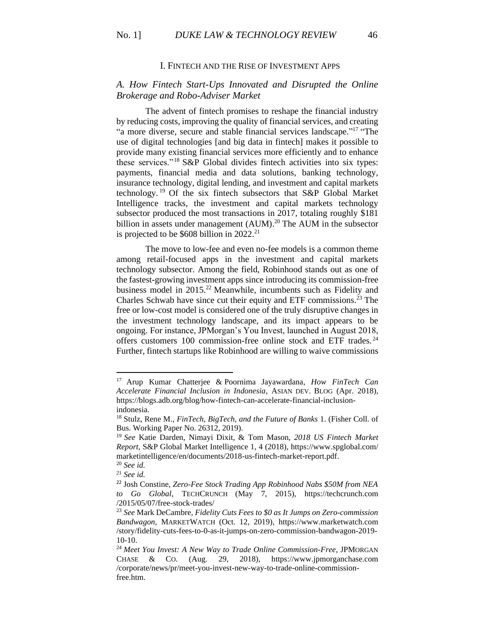### I. FINTECH AND THE RISE OF INVESTMENT APPS

### *A. How Fintech Start-Ups Innovated and Disrupted the Online Brokerage and Robo-Adviser Market*

The advent of fintech promises to reshape the financial industry by reducing costs, improving the quality of financial services, and creating "a more diverse, secure and stable financial services landscape."<sup>17</sup> "The use of digital technologies [and big data in fintech] makes it possible to provide many existing financial services more efficiently and to enhance these services."<sup>18</sup> S&P Global divides fintech activities into six types: payments, financial media and data solutions, banking technology, insurance technology, digital lending, and investment and capital markets technology. <sup>19</sup> Of the six fintech subsectors that S&P Global Market Intelligence tracks, the investment and capital markets technology subsector produced the most transactions in 2017, totaling roughly \$181 billion in assets under management  $(AUM)$ .<sup>20</sup> The AUM in the subsector is projected to be  $$608$  billion in 2022.<sup>21</sup>

The move to low-fee and even no-fee models is a common theme among retail-focused apps in the investment and capital markets technology subsector. Among the field, Robinhood stands out as one of the fastest-growing investment apps since introducing its commission-free business model in 2015. <sup>22</sup> Meanwhile, incumbents such as Fidelity and Charles Schwab have since cut their equity and ETF commissions.<sup>23</sup> The free or low-cost model is considered one of the truly disruptive changes in the investment technology landscape, and its impact appears to be ongoing. For instance, JPMorgan's You Invest, launched in August 2018, offers customers 100 commission-free online stock and ETF trades. <sup>24</sup> Further, fintech startups like Robinhood are willing to waive commissions

<sup>17</sup> Arup Kumar Chatterjee & Poornima Jayawardana, *How FinTech Can Accelerate Financial Inclusion in Indonesia*, ASIAN DEV. BLOG (Apr. 2018), https://blogs.adb.org/blog/how-fintech-can-accelerate-financial-inclusionindonesia.

<sup>18</sup> Stulz, Rene M., *FinTech, BigTech, and the Future of Banks* 1. (Fisher Coll. of Bus. Working Paper No. 26312, 2019).

<sup>19</sup> *See* Katie Darden, Nimayi Dixit, & Tom Mason, *2018 US Fintech Market Report*, S&P Global Market Intelligence 1, 4 (2018)[, https://www.spglobal.com/](https://www.spglobal.com/) marketintelligence/en/documents/2018-us-fintech-market-report.pdf. <sup>20</sup> *See id.*

<sup>21</sup> *See id.*

<sup>22</sup> Josh Constine, *Zero-Fee Stock Trading App Robinhood Nabs \$50M from NEA to Go Global*, TECHCRUNCH (May 7, 2015), [https://techcrunch.com](https://techcrunch.com/) /2015/05/07/free-stock-trades/

<sup>23</sup> *See* Mark DeCambre, *Fidelity Cuts Fees to \$0 as It Jumps on Zero-commission Bandwagon*, MARKETWATCH (Oct. 12, 2019), [https://www.marketwatch.com](https://www.marketwatch.com/) /story/fidelity-cuts-fees-to-0-as-it-jumps-on-zero-commission-bandwagon-2019-  $10-10.$ 

<sup>24</sup> *Meet You Invest: A New Way to Trade Online Commission-Free*, JPMORGAN CHASE & CO. (Aug. 29, 2018), [https://www.jpmorganchase.com](https://www.jpmorganchase.com/) /corporate/news/pr/meet-you-invest-new-way-to-trade-online-commissionfree.htm.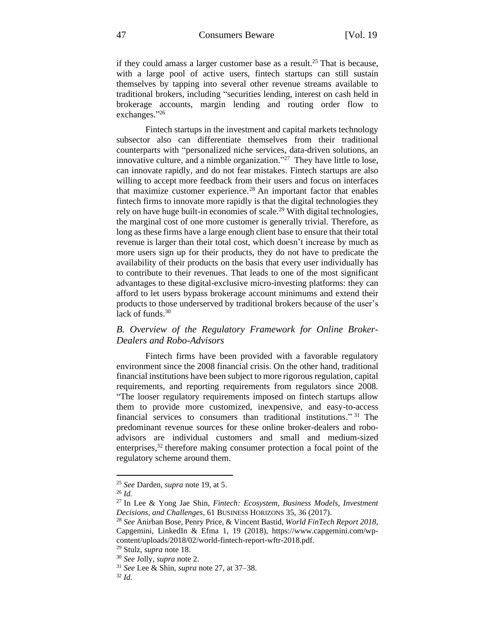if they could amass a larger customer base as a result.<sup>25</sup> That is because, with a large pool of active users, fintech startups can still sustain themselves by tapping into several other revenue streams available to traditional brokers, including "securities lending, interest on cash held in brokerage accounts, margin lending and routing order flow to exchanges." 26

Fintech startups in the investment and capital markets technology subsector also can differentiate themselves from their traditional counterparts with "personalized niche services, data-driven solutions, an innovative culture, and a nimble organization."<sup>27</sup> They have little to lose, can innovate rapidly, and do not fear mistakes. Fintech startups are also willing to accept more feedback from their users and focus on interfaces that maximize customer experience.<sup>28</sup> An important factor that enables fintech firms to innovate more rapidly is that the digital technologies they rely on have huge built-in economies of scale.<sup>29</sup> With digital technologies, the marginal cost of one more customer is generally trivial. Therefore, as long as these firms have a large enough client base to ensure that their total revenue is larger than their total cost, which doesn't increase by much as more users sign up for their products, they do not have to predicate the availability of their products on the basis that every user individually has to contribute to their revenues. That leads to one of the most significant advantages to these digital-exclusive micro-investing platforms: they can afford to let users bypass brokerage account minimums and extend their products to those underserved by traditional brokers because of the user's lack of funds. 30

# *B. Overview of the Regulatory Framework for Online Broker-Dealers and Robo-Advisors*

Fintech firms have been provided with a favorable regulatory environment since the 2008 financial crisis. On the other hand, traditional financial institutions have been subject to more rigorous regulation, capital requirements, and reporting requirements from regulators since 2008. "The looser regulatory requirements imposed on fintech startups allow them to provide more customized, inexpensive, and easy-to-access financial services to consumers than traditional institutions." <sup>31</sup> The predominant revenue sources for these online broker-dealers and roboadvisors are individual customers and small and medium-sized enterprises, $32$  therefore making consumer protection a focal point of the regulatory scheme around them.

<sup>25</sup> *See* Darden, *supra* note 19, at 5.

<sup>26</sup> *Id.*

<sup>27</sup> In Lee & Yong Jae Shin, *Fintech: Ecosystem, Business Models, Investment Decisions, and Challenges*, 61 BUSINESS HORIZONS 35, 36 (2017).

<sup>28</sup> *See* Anirban Bose, Penry Price, & Vincent Bastid, *World FinTech Report 2018*, Capgemini, LinkedIn & Efma 1, 19 (2018), https://www.capgemini.com/wpcontent/uploads/2018/02/world-fintech-report-wftr-2018.pdf.

<sup>29</sup> Stulz, *supra* note 18.

<sup>30</sup> *See* Jolly, *supra* note 2.

<sup>31</sup> *See* Lee & Shin, *supra* note 27, at 37–38.

<sup>32</sup> *Id.*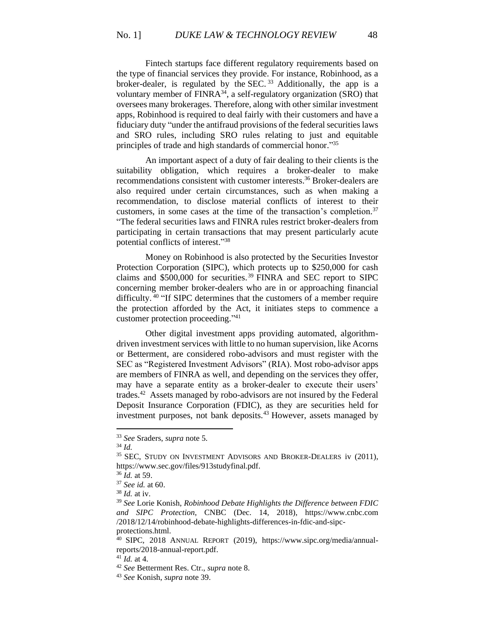Fintech startups face different regulatory requirements based on the type of financial services they provide. For instance, Robinhood, as a broker-dealer, is regulated by the SEC.<sup>33</sup> Additionally, the app is a voluntary member of  $FINRA^{34}$ , a self-regulatory organization (SRO) that oversees many brokerages. Therefore, along with other similar investment apps, Robinhood is required to deal fairly with their customers and have a fiduciary duty "under the antifraud provisions of the federal securities laws and SRO rules, including SRO rules relating to just and equitable principles of trade and high standards of commercial honor."35

An important aspect of a duty of fair dealing to their clients is the suitability obligation, which requires a broker-dealer to make recommendations consistent with customer interests. <sup>36</sup> Broker-dealers are also required under certain circumstances, such as when making a recommendation, to disclose material conflicts of interest to their customers, in some cases at the time of the transaction's completion. 37 "The federal securities laws and FINRA rules restrict broker-dealers from participating in certain transactions that may present particularly acute potential conflicts of interest." 38

Money on Robinhood is also protected by the Securities Investor Protection Corporation (SIPC), which protects up to \$250,000 for cash claims and  $$500,000$  for securities.<sup>39</sup> FINRA and SEC report to SIPC concerning member broker-dealers who are in or approaching financial difficulty.<sup>40</sup> "If SIPC determines that the customers of a member require the protection afforded by the Act, it initiates steps to commence a customer protection proceeding." 41

Other digital investment apps providing automated, algorithmdriven investment services with little to no human supervision, like Acorns or Betterment, are considered robo-advisors and must register with the SEC as "Registered Investment Advisors" (RIA). Most robo-advisor apps are members of FINRA as well, and depending on the services they offer, may have a separate entity as a broker-dealer to execute their users' trades.<sup>42</sup> Assets managed by robo-advisors are not insured by the Federal Deposit Insurance Corporation (FDIC), as they are securities held for investment purposes, not bank deposits.<sup>43</sup> However, assets managed by

<sup>38</sup> *Id.* at iv.

protections.html.

<sup>33</sup> *See* Sraders, *supra* note 5.

<sup>34</sup> *Id.*

<sup>&</sup>lt;sup>35</sup> SEC, STUDY ON INVESTMENT ADVISORS AND BROKER-DEALERS iv (2011), https://www.sec.gov/files/913studyfinal.pdf.

<sup>36</sup> *Id.* at 59.

<sup>37</sup> *See id.* at 60.

<sup>39</sup> *See* Lorie Konish, *Robinhood Debate Highlights the Difference between FDIC and SIPC Protection*, CNBC (Dec. 14, 2018), [https://www.cnbc.com](https://www.cnbc.com/) /2018/12/14/robinhood-debate-highlights-differences-in-fdic-and-sipc-

<sup>40</sup> SIPC*,* 2018 ANNUAL REPORT (2019), https://www.sipc.org/media/annualreports/2018-annual-report.pdf.

<sup>41</sup> *Id.* at 4.

<sup>42</sup> *See* Betterment Res. Ctr., *supra* note 8.

<sup>43</sup> *See* Konish, *supra* note 39.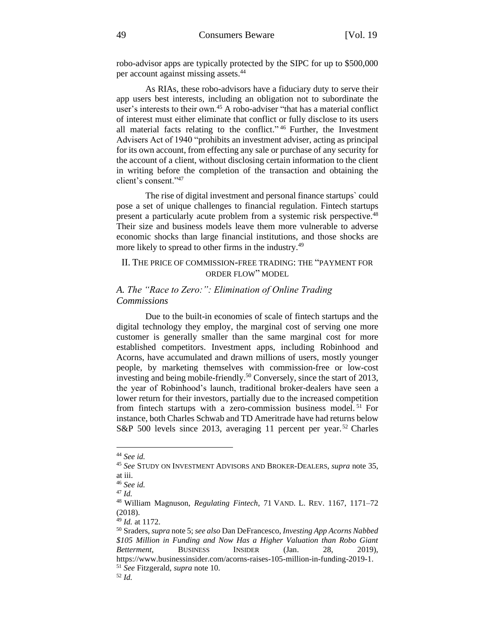robo-advisor apps are typically protected by the SIPC for up to \$500,000 per account against missing assets.<sup>44</sup>

As RIAs, these robo-advisors have a fiduciary duty to serve their app users best interests, including an obligation not to subordinate the user's interests to their own.<sup>45</sup> A robo-adviser "that has a material conflict of interest must either eliminate that conflict or fully disclose to its users all material facts relating to the conflict."<sup>46</sup> Further, the Investment Advisers Act of 1940 "prohibits an investment adviser, acting as principal for its own account, from effecting any sale or purchase of any security for the account of a client, without disclosing certain information to the client in writing before the completion of the transaction and obtaining the client's consent." 47

The rise of digital investment and personal finance startups` could pose a set of unique challenges to financial regulation. Fintech startups present a particularly acute problem from a systemic risk perspective.<sup>48</sup> Their size and business models leave them more vulnerable to adverse economic shocks than large financial institutions, and those shocks are more likely to spread to other firms in the industry.<sup>49</sup>

### II. THE PRICE OF COMMISSION-FREE TRADING: THE "PAYMENT FOR ORDER FLOW" MODEL

# *A. The "Race to Zero:": Elimination of Online Trading Commissions*

Due to the built-in economies of scale of fintech startups and the digital technology they employ, the marginal cost of serving one more customer is generally smaller than the same marginal cost for more established competitors. Investment apps, including Robinhood and Acorns, have accumulated and drawn millions of users, mostly younger people, by marketing themselves with commission-free or low-cost investing and being mobile-friendly.<sup>50</sup> Conversely, since the start of 2013, the year of Robinhood's launch, traditional broker-dealers have seen a lower return for their investors, partially due to the increased competition from fintech startups with a zero-commission business model.<sup>51</sup> For instance, both Charles Schwab and TD Ameritrade have had returns below S&P 500 levels since 2013, averaging 11 percent per year.<sup>52</sup> Charles

<sup>44</sup> *See id.*

<sup>45</sup> *See* STUDY ON INVESTMENT ADVISORS AND BROKER-DEALERS, *supra* note 35, at iii.

<sup>46</sup> *See id.*

<sup>47</sup> *Id.*

<sup>48</sup> William Magnuson, *Regulating Fintech*, 71 VAND. L. REV. 1167, 1171–72 (2018).

<sup>49</sup> *Id.* at 1172.

<sup>50</sup> Sraders, *supra* note 5; *see also* Dan DeFrancesco, *Investing App Acorns Nabbed \$105 Million in Funding and Now Has a Higher Valuation than Robo Giant Betterment*, BUSINESS INSIDER (Jan. 28, 2019), https://www.businessinsider.com/acorns-raises-105-million-in-funding-2019-1. <sup>51</sup> *See* Fitzgerald, *supra* note 10.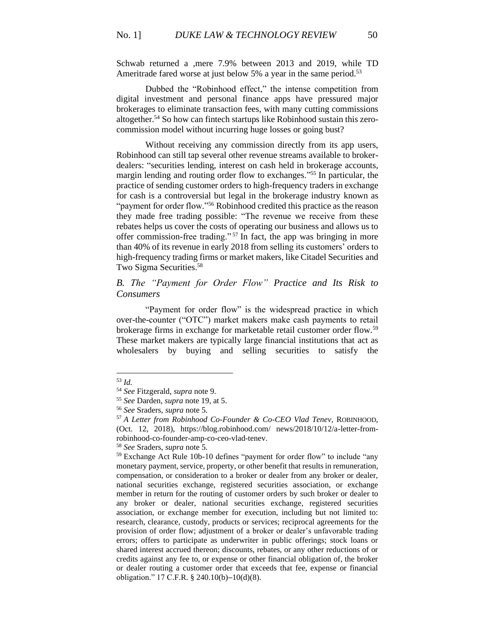Schwab returned a ,mere 7.9% between 2013 and 2019, while TD Ameritrade fared worse at just below 5% a year in the same period.<sup>53</sup>

Dubbed the "Robinhood effect," the intense competition from digital investment and personal finance apps have pressured major brokerages to eliminate transaction fees, with many cutting commissions altogether. <sup>54</sup> So how can fintech startups like Robinhood sustain this zerocommission model without incurring huge losses or going bust?

Without receiving any commission directly from its app users, Robinhood can still tap several other revenue streams available to brokerdealers: "securities lending, interest on cash held in brokerage accounts, margin lending and routing order flow to exchanges."<sup>55</sup> In particular, the practice of sending customer orders to high-frequency traders in exchange for cash is a controversial but legal in the brokerage industry known as "payment for order flow."<sup>56</sup> Robinhood credited this practice as the reason they made free trading possible: "The revenue we receive from these rebates helps us cover the costs of operating our business and allows us to offer commission-free trading." <sup>57</sup> In fact, the app was bringing in more than 40% of its revenue in early 2018 from selling its customers' orders to high-frequency trading firms or market makers, like Citadel Securities and Two Sigma Securities.<sup>58</sup>

# *B. The "Payment for Order Flow" Practice and Its Risk to Consumers*

"Payment for order flow" is the widespread practice in which over-the-counter ("OTC") market makers make cash payments to retail brokerage firms in exchange for marketable retail customer order flow.<sup>59</sup> These market makers are typically large financial institutions that act as wholesalers by buying and selling securities to satisfy the

<sup>53</sup> *Id.*

<sup>54</sup> *See* Fitzgerald, *supra* note 9.

<sup>55</sup> *See* Darden, *supra* note 19, at 5.

<sup>56</sup> *See* Sraders, *supra* note 5.

<sup>57</sup> *A Letter from Robinhood Co-Founder & Co-CEO Vlad Tenev*, ROBINHOOD, (Oct. 12, 2018), https://blog.robinhood.com/ news/2018/10/12/a-letter-fromrobinhood-co-founder-amp-co-ceo-vlad-tenev.

<sup>58</sup> *See* Sraders, *supra* note 5.

<sup>&</sup>lt;sup>59</sup> Exchange Act Rule 10b-10 defines "payment for order flow" to include "any monetary payment, service, property, or other benefit that results in remuneration, compensation, or consideration to a broker or dealer from any broker or dealer, national securities exchange, registered securities association, or exchange member in return for the routing of customer orders by such broker or dealer to any broker or dealer, national securities exchange, registered securities association, or exchange member for execution, including but not limited to: research, clearance, custody, products or services; reciprocal agreements for the provision of order flow; adjustment of a broker or dealer's unfavorable trading errors; offers to participate as underwriter in public offerings; stock loans or shared interest accrued thereon; discounts, rebates, or any other reductions of or credits against any fee to, or expense or other financial obligation of, the broker or dealer routing a customer order that exceeds that fee, expense or financial obligation." 17 C.F.R. § 240.10(b)–10(d)(8).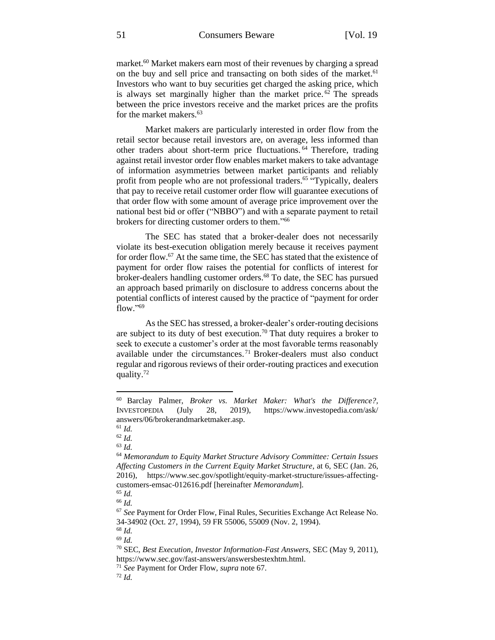market. <sup>60</sup> Market makers earn most of their revenues by charging a spread on the buy and sell price and transacting on both sides of the market.<sup>61</sup> Investors who want to buy securities get charged the asking price, which is always set marginally higher than the market price. <sup>62</sup> The spreads between the price investors receive and the market prices are the profits for the market makers.<sup>63</sup>

Market makers are particularly interested in order flow from the retail sector because retail investors are, on average, less informed than other traders about short-term price fluctuations. <sup>64</sup> Therefore, trading against retail investor order flow enables market makers to take advantage of information asymmetries between market participants and reliably profit from people who are not professional traders.<sup>65</sup> "Typically, dealers that pay to receive retail customer order flow will guarantee executions of that order flow with some amount of average price improvement over the national best bid or offer ("NBBO") and with a separate payment to retail brokers for directing customer orders to them."<sup>66</sup>

The SEC has stated that a broker-dealer does not necessarily violate its best-execution obligation merely because it receives payment for order flow.<sup>67</sup> At the same time, the SEC has stated that the existence of payment for order flow raises the potential for conflicts of interest for broker-dealers handling customer orders.<sup>68</sup> To date, the SEC has pursued an approach based primarily on disclosure to address concerns about the potential conflicts of interest caused by the practice of "payment for order flow." 69

As the SEC has stressed, a broker-dealer's order-routing decisions are subject to its duty of best execution.<sup>70</sup> That duty requires a broker to seek to execute a customer's order at the most favorable terms reasonably available under the circumstances. <sup>71</sup> Broker-dealers must also conduct regular and rigorous reviews of their order-routing practices and execution quality.<sup>72</sup>

<sup>60</sup> Barclay Palmer, *Broker vs. Market Maker: What's the Difference?,*  INVESTOPEDIA (July 28, 2019), https://www.investopedia.com/ask/ answers/06/brokerandmarketmaker.asp.

<sup>61</sup> *Id.*

<sup>62</sup> *Id.*

<sup>63</sup> *Id.*

<sup>64</sup> *Memorandum to Equity Market Structure Advisory Committee: Certain Issues Affecting Customers in the Current Equity Market Structure*, at 6, SEC (Jan. 26, 2016), https://www.sec.gov/spotlight/equity-market-structure/issues-affectingcustomers-emsac-012616.pdf [hereinafter *Memorandum*].

<sup>65</sup> *Id.* <sup>66</sup> *Id.*

<sup>67</sup> *See* Payment for Order Flow, Final Rules, Securities Exchange Act Release No. 34-34902 (Oct. 27, 1994), 59 FR 55006, 55009 (Nov. 2, 1994).

<sup>68</sup> *Id.*

<sup>69</sup> *Id.*

<sup>70</sup> SEC, *Best Execution, Investor Information-Fast Answers,* SEC (May 9, 2011), https://www.sec.gov/fast-answers/answersbestexhtm.html.

<sup>71</sup> *See* Payment for Order Flow, *supra* note 67.

<sup>72</sup> *Id.*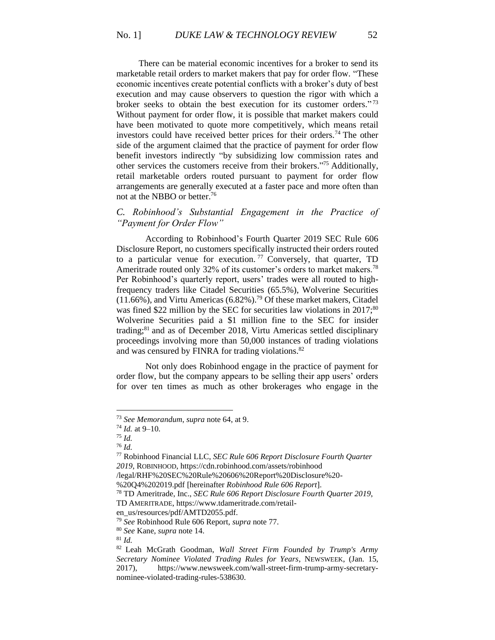There can be material economic incentives for a broker to send its marketable retail orders to market makers that pay for order flow. "These economic incentives create potential conflicts with a broker's duty of best execution and may cause observers to question the rigor with which a broker seeks to obtain the best execution for its customer orders." 73 Without payment for order flow, it is possible that market makers could have been motivated to quote more competitively, which means retail investors could have received better prices for their orders.<sup>74</sup> The other side of the argument claimed that the practice of payment for order flow benefit investors indirectly "by subsidizing low commission rates and other services the customers receive from their brokers." <sup>75</sup> Additionally, retail marketable orders routed pursuant to payment for order flow arrangements are generally executed at a faster pace and more often than not at the NBBO or better.<sup>76</sup>

# *C. Robinhood's Substantial Engagement in the Practice of "Payment for Order Flow"*

According to Robinhood's Fourth Quarter 2019 SEC Rule 606 Disclosure Report, no customers specifically instructed their orders routed to a particular venue for execution.<sup>77</sup> Conversely, that quarter, TD Ameritrade routed only 32% of its customer's orders to market makers.<sup>78</sup> Per Robinhood's quarterly report, users' trades were all routed to highfrequency traders like Citadel Securities (65.5%), Wolverine Securities  $(11.66\%)$ , and Virtu Americas  $(6.82\%)$ .<sup>79</sup> Of these market makers, Citadel was fined \$22 million by the SEC for securities law violations in  $2017$ ;<sup>80</sup> Wolverine Securities paid a \$1 million fine to the SEC for insider trading;<sup>81</sup> and as of December 2018, Virtu Americas settled disciplinary proceedings involving more than 50,000 instances of trading violations and was censured by FINRA for trading violations.<sup>82</sup>

Not only does Robinhood engage in the practice of payment for order flow, but the company appears to be selling their app users' orders for over ten times as much as other brokerages who engage in the

<sup>73</sup> *See Memorandum*, *supra* note 64, at 9.

<sup>74</sup> *Id.* at 9–10.

<sup>75</sup> *Id.*

<sup>76</sup> *Id.*

<sup>77</sup> Robinhood Financial LLC*, SEC Rule 606 Report Disclosure Fourth Quarter 2019*, ROBINHOOD, https://cdn.robinhood.com/assets/robinhood

<sup>/</sup>legal/RHF%20SEC%20Rule%20606%20Report%20Disclosure%20-

<sup>%20</sup>Q4%202019.pdf [hereinafter *Robinhood Rule 606 Report*].

<sup>78</sup> TD Ameritrade, Inc., *SEC Rule 606 Report Disclosure Fourth Quarter 2019*, TD AMERITRADE, https://www.tdameritrade.com/retail-

en\_us/resources/pdf/AMTD2055.pdf.

<sup>79</sup> *See* Robinhood Rule 606 Report, *supra* note 77.

<sup>80</sup> *See* Kane, *supra* note 14.

<sup>81</sup> *Id.*

<sup>82</sup> Leah McGrath Goodman, *Wall Street Firm Founded by Trump's Army Secretary Nominee Violated Trading Rules for Years*, NEWSWEEK, (Jan. 15, 2017), https://www.newsweek.com/wall-street-firm-trump-army-secretarynominee-violated-trading-rules-538630.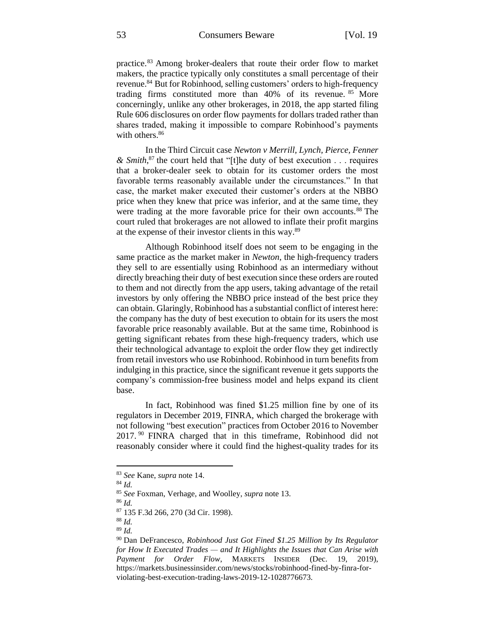practice.<sup>83</sup> Among broker-dealers that route their order flow to market makers, the practice typically only constitutes a small percentage of their revenue.<sup>84</sup> But for Robinhood, selling customers' orders to high-frequency trading firms constituted more than 40% of its revenue. <sup>85</sup> More concerningly, unlike any other brokerages, in 2018, the app started filing Rule 606 disclosures on order flow payments for dollars traded rather than shares traded, making it impossible to compare Robinhood's payments with others.<sup>86</sup>

In the Third Circuit case *Newton v Merrill, Lynch, Pierce, Fenner & Smith*, <sup>87</sup> the court held that "[t]he duty of best execution . . . requires that a broker-dealer seek to obtain for its customer orders the most favorable terms reasonably available under the circumstances." In that case, the market maker executed their customer's orders at the NBBO price when they knew that price was inferior, and at the same time, they were trading at the more favorable price for their own accounts.<sup>88</sup> The court ruled that brokerages are not allowed to inflate their profit margins at the expense of their investor clients in this way.<sup>89</sup>

Although Robinhood itself does not seem to be engaging in the same practice as the market maker in *Newton*, the high-frequency traders they sell to are essentially using Robinhood as an intermediary without directly breaching their duty of best execution since these orders are routed to them and not directly from the app users, taking advantage of the retail investors by only offering the NBBO price instead of the best price they can obtain. Glaringly, Robinhood has a substantial conflict of interest here: the company has the duty of best execution to obtain for its users the most favorable price reasonably available. But at the same time, Robinhood is getting significant rebates from these high-frequency traders, which use their technological advantage to exploit the order flow they get indirectly from retail investors who use Robinhood. Robinhood in turn benefits from indulging in this practice, since the significant revenue it gets supports the company's commission-free business model and helps expand its client base.

In fact, Robinhood was fined \$1.25 million fine by one of its regulators in December 2019, FINRA, which charged the brokerage with not following "best execution" practices from October 2016 to November 2017. <sup>90</sup> FINRA charged that in this timeframe, Robinhood did not reasonably consider where it could find the highest-quality trades for its

<sup>83</sup> *See* Kane, *supra* note 14.

<sup>84</sup> *Id.*

<sup>85</sup> *See* Foxman, Verhage, and Woolley, *supra* note 13.

<sup>86</sup> *Id.*

<sup>87</sup> 135 F.3d 266, 270 (3d Cir. 1998).

<sup>88</sup> *Id.*

<sup>89</sup> *Id.*

<sup>90</sup> Dan DeFrancesco, *Robinhood Just Got Fined \$1.25 Million by Its Regulator for How It Executed Trades — and It Highlights the Issues that Can Arise with Payment for Order Flow*, MARKETS INSIDER (Dec. 19, 2019), https://markets.businessinsider.com/news/stocks/robinhood-fined-by-finra-forviolating-best-execution-trading-laws-2019-12-1028776673.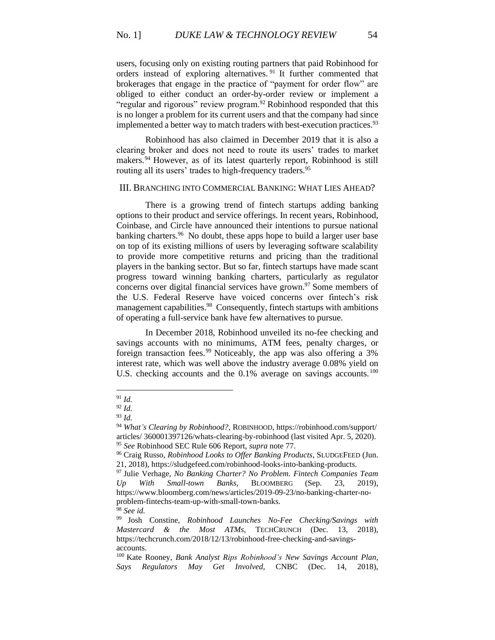users, focusing only on existing routing partners that paid Robinhood for orders instead of exploring alternatives.<sup>91</sup> It further commented that brokerages that engage in the practice of "payment for order flow" are obliged to either conduct an order-by-order review or implement a "regular and rigorous" review program.<sup>92</sup> Robinhood responded that this is no longer a problem for its current users and that the company had since implemented a better way to match traders with best-execution practices.<sup>93</sup>

Robinhood has also claimed in December 2019 that it is also a clearing broker and does not need to route its users' trades to market makers.<sup>94</sup> However, as of its latest quarterly report, Robinhood is still routing all its users' trades to high-frequency traders.<sup>95</sup>

#### III. BRANCHING INTO COMMERCIAL BANKING: WHAT LIES AHEAD?

There is a growing trend of fintech startups adding banking options to their product and service offerings. In recent years, Robinhood, Coinbase, and Circle have announced their intentions to pursue national banking charters.<sup>96</sup> No doubt, these apps hope to build a larger user base on top of its existing millions of users by leveraging software scalability to provide more competitive returns and pricing than the traditional players in the banking sector. But so far, fintech startups have made scant progress toward winning banking charters, particularly as regulator concerns over digital financial services have grown.<sup>97</sup> Some members of the U.S. Federal Reserve have voiced concerns over fintech's risk management capabilities.<sup>98</sup> Consequently, fintech startups with ambitions of operating a full-service bank have few alternatives to pursue.

In December 2018, Robinhood unveiled its no-fee checking and savings accounts with no minimums, ATM fees, penalty charges, or foreign transaction fees.<sup>99</sup> Noticeably, the app was also offering a 3% interest rate, which was well above the industry average 0.08% yield on U.S. checking accounts and the 0.1% average on savings accounts.<sup>100</sup>

<sup>98</sup> *See id.*

<sup>91</sup> *Id.*

<sup>92</sup> *Id.*

<sup>93</sup> *Id.*

<sup>94</sup> *What's Clearing by Robinhood?,* ROBINHOOD, https://robinhood.com/support/ articles/ 360001397126/whats-clearing-by-robinhood (last visited Apr. 5, 2020). <sup>95</sup> *See* Robinhood SEC Rule 606 Report, *supra* note 77.

<sup>96</sup> Craig Russo, *Robinhood Looks to Offer Banking Products*, SLUDGEFEED (Jun. 21, 2018), https://sludgefeed.com/robinhood-looks-into-banking-products.

<sup>97</sup> Julie Verhage, *No Banking Charter? No Problem. Fintech Companies Team Up With Small-town Banks*, BLOOMBERG (Sep. 23, 2019), https://www.bloomberg.com/news/articles/2019-09-23/no-banking-charter-noproblem-fintechs-team-up-with-small-town-banks.

<sup>99</sup> Josh Constine, *Robinhood Launches No-Fee Checking/Savings with Mastercard & the Most ATMs*, TECHCRUNCH (Dec. 13, 2018), https://techcrunch.com/2018/12/13/robinhood-free-checking-and-savingsaccounts.

<sup>100</sup> Kate Rooney, *Bank Analyst Rips Robinhood's New Savings Account Plan, Says Regulators May Get Involved*, CNBC (Dec. 14, 2018),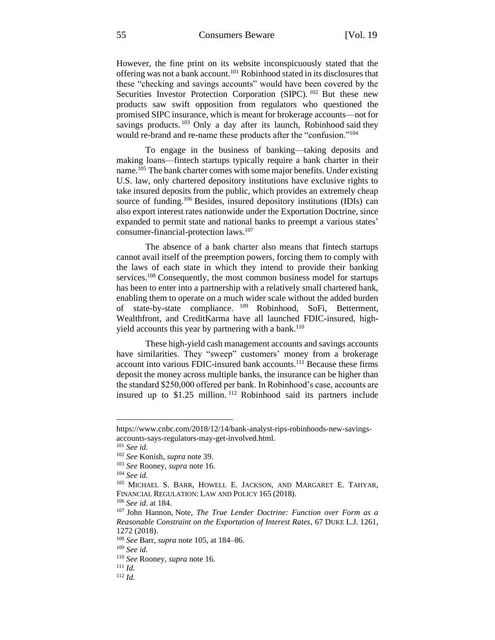However, the fine print on its website inconspicuously stated that the offering was not a bank account.<sup>101</sup> Robinhood stated in its disclosures that these "checking and savings accounts" would have been covered by the Securities Investor Protection Corporation (SIPC).<sup>102</sup> But these new products saw swift opposition from regulators who questioned the promised SIPC insurance, which is meant for brokerage accounts—not for savings products.<sup>103</sup> Only a day after its launch, Robinhood said they would re-brand and re-name these products after the "confusion."<sup>104</sup>

To engage in the business of banking—taking deposits and making loans—fintech startups typically require a bank charter in their name.<sup>105</sup> The bank charter comes with some major benefits. Under existing U.S. law, only chartered depository institutions have exclusive rights to take insured deposits from the public, which provides an extremely cheap source of funding.<sup>106</sup> Besides, insured depository institutions (IDIs) can also export interest rates nationwide under the Exportation Doctrine, since expanded to permit state and national banks to preempt a various states' consumer-financial-protection laws.<sup>107</sup>

The absence of a bank charter also means that fintech startups cannot avail itself of the preemption powers, forcing them to comply with the laws of each state in which they intend to provide their banking services.<sup>108</sup> Consequently, the most common business model for startups has been to enter into a partnership with a relatively small chartered bank, enabling them to operate on a much wider scale without the added burden of state-by-state compliance. <sup>109</sup> Robinhood, SoFi, Betterment, Wealthfront, and CreditKarma have all launched FDIC-insured, highyield accounts this year by partnering with a bank.<sup>110</sup>

These high-yield cash management accounts and savings accounts have similarities. They "sweep" customers' money from a brokerage account into various FDIC-insured bank accounts.<sup>111</sup> Because these firms deposit the money across multiple banks, the insurance can be higher than the standard \$250,000 offered per bank. In Robinhood's case, accounts are insured up to \$1.25 million. <sup>112</sup> Robinhood said its partners include

https://www.cnbc.com/2018/12/14/bank-analyst-rips-robinhoods-new-savingsaccounts-says-regulators-may-get-involved.html.

<sup>101</sup> *See id.*

<sup>102</sup> *See* Konish, *supra* note 39.

<sup>103</sup> *See* Rooney, *supra* note 16.

<sup>104</sup> *See id.*

<sup>105</sup> MICHAEL S. BARR, HOWELL E. JACKSON, AND MARGARET E. TAHYAR, FINANCIAL REGULATION: LAW AND POLICY 165 (2018).

<sup>106</sup> *See id*. at 184.

<sup>107</sup> John Hannon, Note, *The True Lender Doctrine: Function over Form as a Reasonable Constraint on the Exportation of Interest Rates*, 67 DUKE L.J. 1261, 1272 (2018).

<sup>108</sup> *See* Barr, *supra* note 105, at 184–86.

<sup>109</sup> *See id.*

<sup>110</sup> *See* Rooney, *supra* note 16.

<sup>111</sup> *Id.*

<sup>112</sup> *Id.*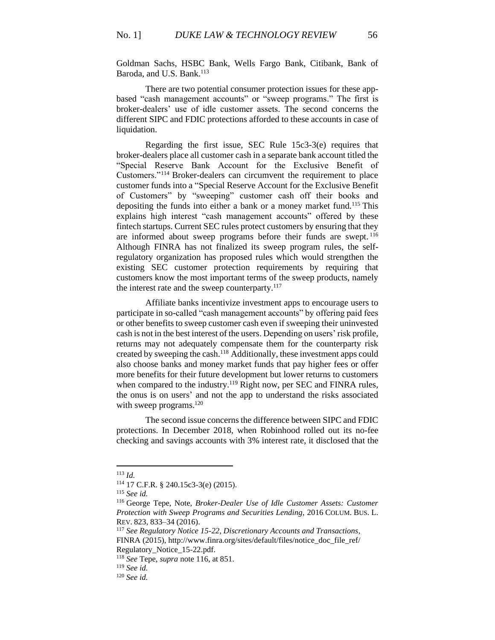Goldman Sachs, HSBC Bank, Wells Fargo Bank, Citibank, Bank of Baroda, and U.S. Bank.<sup>113</sup>

There are two potential consumer protection issues for these appbased "cash management accounts" or "sweep programs." The first is broker-dealers' use of idle customer assets. The second concerns the different SIPC and FDIC protections afforded to these accounts in case of liquidation.

Regarding the first issue, SEC Rule 15c3-3(e) requires that broker-dealers place all customer cash in a separate bank account titled the "Special Reserve Bank Account for the Exclusive Benefit of Customers."<sup>114</sup> Broker-dealers can circumvent the requirement to place customer funds into a "Special Reserve Account for the Exclusive Benefit of Customers" by "sweeping" customer cash off their books and depositing the funds into either a bank or a money market fund.<sup>115</sup> This explains high interest "cash management accounts" offered by these fintech startups. Current SEC rules protect customers by ensuring that they are informed about sweep programs before their funds are swept. <sup>116</sup> Although FINRA has not finalized its sweep program rules, the selfregulatory organization has proposed rules which would strengthen the existing SEC customer protection requirements by requiring that customers know the most important terms of the sweep products, namely the interest rate and the sweep counterparty. $117$ 

Affiliate banks incentivize investment apps to encourage users to participate in so-called "cash management accounts" by offering paid fees or other benefits to sweep customer cash even if sweeping their uninvested cash is not in the best interest of the users. Depending on users' risk profile, returns may not adequately compensate them for the counterparty risk created by sweeping the cash.<sup>118</sup> Additionally, these investment apps could also choose banks and money market funds that pay higher fees or offer more benefits for their future development but lower returns to customers when compared to the industry.<sup>119</sup> Right now, per SEC and FINRA rules, the onus is on users' and not the app to understand the risks associated with sweep programs.<sup>120</sup>

The second issue concerns the difference between SIPC and FDIC protections. In December 2018, when Robinhood rolled out its no-fee checking and savings accounts with 3% interest rate, it disclosed that the

<sup>113</sup> *Id.*

<sup>114</sup> 17 C.F.R. § 240.15c3-3(e) (2015).

<sup>115</sup> *See id.*

<sup>116</sup> George Tepe, Note, *Broker-Dealer Use of Idle Customer Assets: Customer Protection with Sweep Programs and Securities Lending*, 2016 COLUM. BUS. L. REV. 823, 833–34 (2016).

<sup>117</sup> *See Regulatory Notice 15-22, Discretionary Accounts and Transactions*, FINRA (2015), [http://www.finra.org/sites/default/files/notice\\_doc\\_file\\_ref/](http://www.finra.org/sites/default/files/notice_doc_file_ref/) Regulatory\_Notice\_15-22.pdf.

<sup>118</sup> *See* Tepe, *supra* note 116, at 851.

<sup>119</sup> *See id.*

<sup>120</sup> *See id.*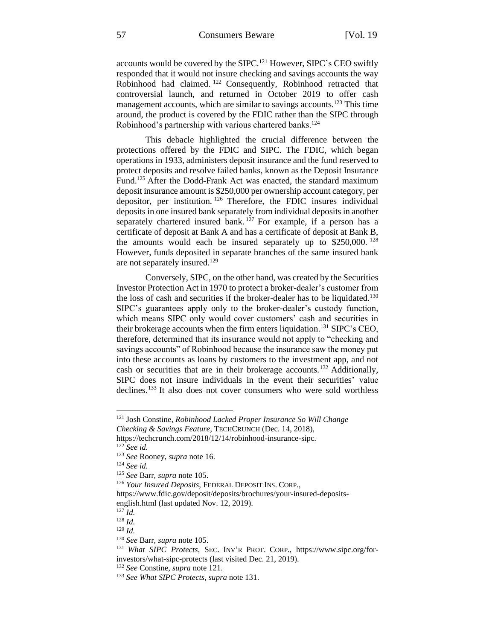accounts would be covered by the SIPC.<sup>121</sup> However, SIPC's CEO swiftly responded that it would not insure checking and savings accounts the way Robinhood had claimed. <sup>122</sup> Consequently, Robinhood retracted that controversial launch, and returned in October 2019 to offer cash management accounts, which are similar to savings accounts.<sup>123</sup> This time around, the product is covered by the FDIC rather than the SIPC through Robinhood's partnership with various chartered banks.<sup>124</sup>

This debacle highlighted the crucial difference between the protections offered by the FDIC and SIPC. The FDIC, which began operations in 1933, administers deposit insurance and the fund reserved to protect deposits and resolve failed banks, known as the Deposit Insurance Fund.<sup>125</sup> After the Dodd-Frank Act was enacted, the standard maximum deposit insurance amount is \$250,000 per ownership account category, per depositor, per institution. <sup>126</sup> Therefore, the FDIC insures individual deposits in one insured bank separately from individual deposits in another separately chartered insured bank.  $127$  For example, if a person has a certificate of deposit at Bank A and has a certificate of deposit at Bank B, the amounts would each be insured separately up to  $$250,000$ . <sup>128</sup> However, funds deposited in separate branches of the same insured bank are not separately insured.<sup>129</sup>

Conversely, SIPC, on the other hand, was created by the Securities Investor Protection Act in 1970 to protect a broker-dealer's customer from the loss of cash and securities if the broker-dealer has to be liquidated.<sup>130</sup> SIPC's guarantees apply only to the broker-dealer's custody function, which means SIPC only would cover customers' cash and securities in their brokerage accounts when the firm enters liquidation.<sup>131</sup> SIPC's CEO, therefore, determined that its insurance would not apply to "checking and savings accounts" of Robinhood because the insurance saw the money put into these accounts as loans by customers to the investment app, and not cash or securities that are in their brokerage accounts.<sup>132</sup> Additionally, SIPC does not insure individuals in the event their securities' value declines.<sup>133</sup> It also does not cover consumers who were sold worthless

<sup>121</sup> Josh Constine, *Robinhood Lacked Proper Insurance So Will Change Checking & Savings Feature*, TECHCRUNCH (Dec. 14, 2018),

https://techcrunch.com/2018/12/14/robinhood-insurance-sipc. <sup>122</sup> *See id.*

<sup>123</sup> *See* Rooney, *supra* note 16.

<sup>124</sup> *See id.*

<sup>125</sup> *See* Barr, *supra* note 105.

<sup>126</sup> *Your Insured Deposits*, FEDERAL DEPOSIT INS. CORP.,

https://www.fdic.gov/deposit/deposits/brochures/your-insured-depositsenglish.html (last updated Nov. 12, 2019).

<sup>127</sup> *Id.*

<sup>128</sup> *Id.*

<sup>129</sup> *Id.*

<sup>130</sup> *See* Barr, *supra* note 105.

<sup>131</sup> *What SIPC Protects*, SEC. INV'R PROT. CORP., https://www.sipc.org/forinvestors/what-sipc-protects (last visited Dec. 21, 2019).

<sup>132</sup> *See* Constine, *supra* note 121.

<sup>133</sup> *See What SIPC Protects*, *supra* note 131.